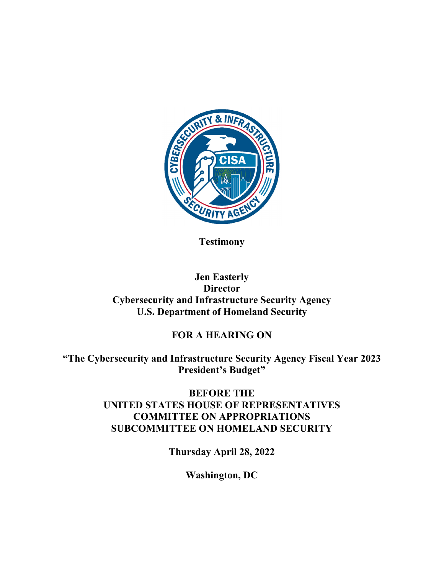

**Testimony** 

# **Jen Easterly Director Cybersecurity and Infrastructure Security Agency U.S. Department of Homeland Security**

## **FOR A HEARING ON**

**"The Cybersecurity and Infrastructure Security Agency Fiscal Year 2023 President's Budget"** 

> **BEFORE THE UNITED STATES HOUSE OF REPRESENTATIVES COMMITTEE ON APPROPRIATIONS SUBCOMMITTEE ON HOMELAND SECURITY**

> > **Thursday April 28, 2022**

**Washington, DC**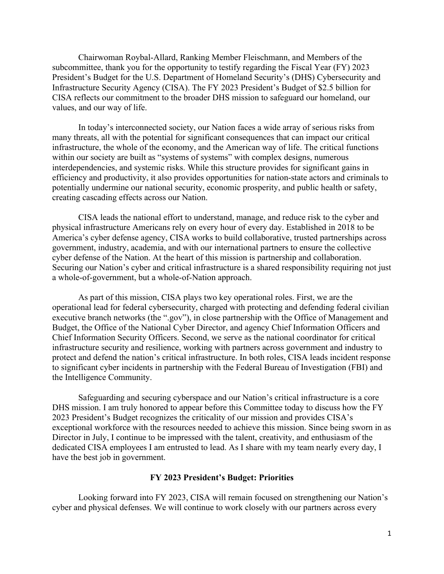Chairwoman Roybal-Allard, Ranking Member Fleischmann, and Members of the subcommittee, thank you for the opportunity to testify regarding the Fiscal Year (FY) 2023 President's Budget for the U.S. Department of Homeland Security's (DHS) Cybersecurity and Infrastructure Security Agency (CISA). The FY 2023 President's Budget of \$2.5 billion for CISA reflects our commitment to the broader DHS mission to safeguard our homeland, our values, and our way of life.

In today's interconnected society, our Nation faces a wide array of serious risks from many threats, all with the potential for significant consequences that can impact our critical infrastructure, the whole of the economy, and the American way of life. The critical functions within our society are built as "systems of systems" with complex designs, numerous interdependencies, and systemic risks. While this structure provides for significant gains in efficiency and productivity, it also provides opportunities for nation-state actors and criminals to potentially undermine our national security, economic prosperity, and public health or safety, creating cascading effects across our Nation.

CISA leads the national effort to understand, manage, and reduce risk to the cyber and physical infrastructure Americans rely on every hour of every day. Established in 2018 to be America's cyber defense agency, CISA works to build collaborative, trusted partnerships across government, industry, academia, and with our international partners to ensure the collective cyber defense of the Nation. At the heart of this mission is partnership and collaboration. Securing our Nation's cyber and critical infrastructure is a shared responsibility requiring not just a whole-of-government, but a whole-of-Nation approach.

As part of this mission, CISA plays two key operational roles. First, we are the operational lead for federal cybersecurity, charged with protecting and defending federal civilian executive branch networks (the ".gov"), in close partnership with the Office of Management and Budget, the Office of the National Cyber Director, and agency Chief Information Officers and Chief Information Security Officers. Second, we serve as the national coordinator for critical infrastructure security and resilience, working with partners across government and industry to protect and defend the nation's critical infrastructure. In both roles, CISA leads incident response to significant cyber incidents in partnership with the Federal Bureau of Investigation (FBI) and the Intelligence Community.

Safeguarding and securing cyberspace and our Nation's critical infrastructure is a core DHS mission. I am truly honored to appear before this Committee today to discuss how the FY 2023 President's Budget recognizes the criticality of our mission and provides CISA's exceptional workforce with the resources needed to achieve this mission. Since being sworn in as Director in July, I continue to be impressed with the talent, creativity, and enthusiasm of the dedicated CISA employees I am entrusted to lead. As I share with my team nearly every day, I have the best job in government.

## **FY 2023 President's Budget: Priorities**

Looking forward into FY 2023, CISA will remain focused on strengthening our Nation's cyber and physical defenses. We will continue to work closely with our partners across every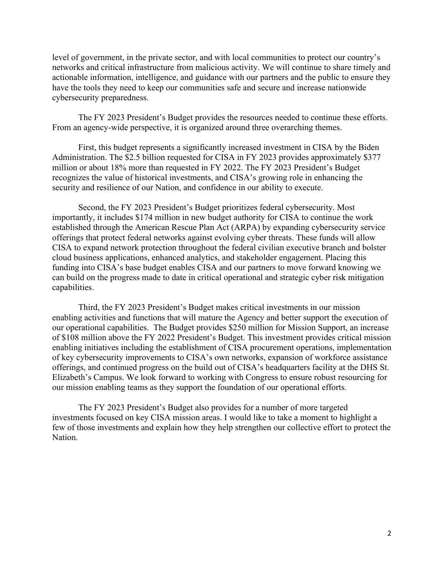level of government, in the private sector, and with local communities to protect our country's networks and critical infrastructure from malicious activity. We will continue to share timely and actionable information, intelligence, and guidance with our partners and the public to ensure they have the tools they need to keep our communities safe and secure and increase nationwide cybersecurity preparedness.

The FY 2023 President's Budget provides the resources needed to continue these efforts. From an agency-wide perspective, it is organized around three overarching themes.

First, this budget represents a significantly increased investment in CISA by the Biden Administration. The \$2.5 billion requested for CISA in FY 2023 provides approximately \$377 million or about 18% more than requested in FY 2022. The FY 2023 President's Budget recognizes the value of historical investments, and CISA's growing role in enhancing the security and resilience of our Nation, and confidence in our ability to execute.

Second, the FY 2023 President's Budget prioritizes federal cybersecurity. Most importantly, it includes \$174 million in new budget authority for CISA to continue the work established through the American Rescue Plan Act (ARPA) by expanding cybersecurity service offerings that protect federal networks against evolving cyber threats. These funds will allow CISA to expand network protection throughout the federal civilian executive branch and bolster cloud business applications, enhanced analytics, and stakeholder engagement. Placing this funding into CISA's base budget enables CISA and our partners to move forward knowing we can build on the progress made to date in critical operational and strategic cyber risk mitigation capabilities.

Third, the FY 2023 President's Budget makes critical investments in our mission enabling activities and functions that will mature the Agency and better support the execution of our operational capabilities. The Budget provides \$250 million for Mission Support, an increase of \$108 million above the FY 2022 President's Budget. This investment provides critical mission enabling initiatives including the establishment of CISA procurement operations, implementation of key cybersecurity improvements to CISA's own networks, expansion of workforce assistance offerings, and continued progress on the build out of CISA's headquarters facility at the DHS St. Elizabeth's Campus. We look forward to working with Congress to ensure robust resourcing for our mission enabling teams as they support the foundation of our operational efforts.

The FY 2023 President's Budget also provides for a number of more targeted investments focused on key CISA mission areas. I would like to take a moment to highlight a few of those investments and explain how they help strengthen our collective effort to protect the Nation.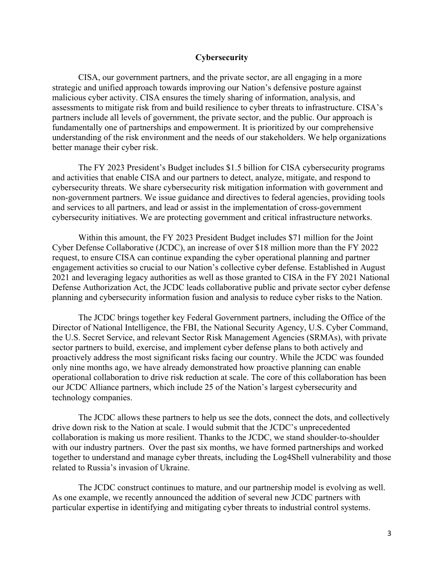## **Cybersecurity**

CISA, our government partners, and the private sector, are all engaging in a more strategic and unified approach towards improving our Nation's defensive posture against malicious cyber activity. CISA ensures the timely sharing of information, analysis, and assessments to mitigate risk from and build resilience to cyber threats to infrastructure. CISA's partners include all levels of government, the private sector, and the public. Our approach is fundamentally one of partnerships and empowerment. It is prioritized by our comprehensive understanding of the risk environment and the needs of our stakeholders. We help organizations better manage their cyber risk.

The FY 2023 President's Budget includes \$1.5 billion for CISA cybersecurity programs and activities that enable CISA and our partners to detect, analyze, mitigate, and respond to cybersecurity threats. We share cybersecurity risk mitigation information with government and non-government partners. We issue guidance and directives to federal agencies, providing tools and services to all partners, and lead or assist in the implementation of cross-government cybersecurity initiatives. We are protecting government and critical infrastructure networks.

Within this amount, the FY 2023 President Budget includes \$71 million for the Joint Cyber Defense Collaborative (JCDC), an increase of over \$18 million more than the FY 2022 request, to ensure CISA can continue expanding the cyber operational planning and partner engagement activities so crucial to our Nation's collective cyber defense. Established in August 2021 and leveraging legacy authorities as well as those granted to CISA in the FY 2021 National Defense Authorization Act, the JCDC leads collaborative public and private sector cyber defense planning and cybersecurity information fusion and analysis to reduce cyber risks to the Nation.

The JCDC brings together key Federal Government partners, including the Office of the Director of National Intelligence, the FBI, the National Security Agency, U.S. Cyber Command, the U.S. Secret Service, and relevant Sector Risk Management Agencies (SRMAs), with private sector partners to build, exercise, and implement cyber defense plans to both actively and proactively address the most significant risks facing our country. While the JCDC was founded only nine months ago, we have already demonstrated how proactive planning can enable operational collaboration to drive risk reduction at scale. The core of this collaboration has been our JCDC Alliance partners, which include 25 of the Nation's largest cybersecurity and technology companies.

The JCDC allows these partners to help us see the dots, connect the dots, and collectively drive down risk to the Nation at scale. I would submit that the JCDC's unprecedented collaboration is making us more resilient. Thanks to the JCDC, we stand shoulder-to-shoulder with our industry partners. Over the past six months, we have formed partnerships and worked together to understand and manage cyber threats, including the Log4Shell vulnerability and those related to Russia's invasion of Ukraine.

The JCDC construct continues to mature, and our partnership model is evolving as well. As one example, we recently announced the addition of several new JCDC partners with particular expertise in identifying and mitigating cyber threats to industrial control systems.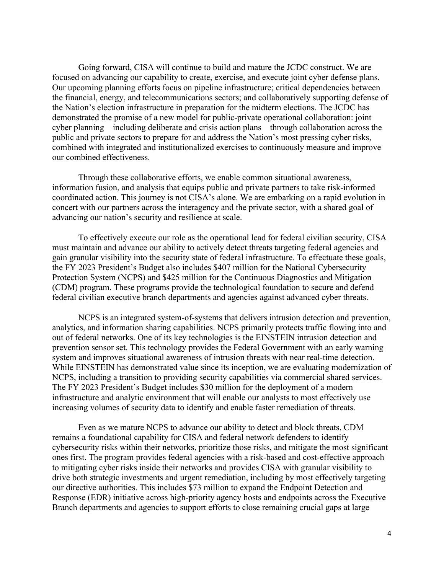Going forward, CISA will continue to build and mature the JCDC construct. We are focused on advancing our capability to create, exercise, and execute joint cyber defense plans. Our upcoming planning efforts focus on pipeline infrastructure; critical dependencies between the financial, energy, and telecommunications sectors; and collaboratively supporting defense of the Nation's election infrastructure in preparation for the midterm elections. The JCDC has demonstrated the promise of a new model for public-private operational collaboration: joint cyber planning—including deliberate and crisis action plans—through collaboration across the public and private sectors to prepare for and address the Nation's most pressing cyber risks, combined with integrated and institutionalized exercises to continuously measure and improve our combined effectiveness.

Through these collaborative efforts, we enable common situational awareness, information fusion, and analysis that equips public and private partners to take risk-informed coordinated action. This journey is not CISA's alone. We are embarking on a rapid evolution in concert with our partners across the interagency and the private sector, with a shared goal of advancing our nation's security and resilience at scale.

To effectively execute our role as the operational lead for federal civilian security, CISA must maintain and advance our ability to actively detect threats targeting federal agencies and gain granular visibility into the security state of federal infrastructure. To effectuate these goals, the FY 2023 President's Budget also includes \$407 million for the National Cybersecurity Protection System (NCPS) and \$425 million for the Continuous Diagnostics and Mitigation (CDM) program. These programs provide the technological foundation to secure and defend federal civilian executive branch departments and agencies against advanced cyber threats.

NCPS is an integrated system-of-systems that delivers intrusion detection and prevention, analytics, and information sharing capabilities. NCPS primarily protects traffic flowing into and out of federal networks. One of its key technologies is the EINSTEIN intrusion detection and prevention sensor set. This technology provides the Federal Government with an early warning system and improves situational awareness of intrusion threats with near real-time detection. While EINSTEIN has demonstrated value since its inception, we are evaluating modernization of NCPS, including a transition to providing security capabilities via commercial shared services. The FY 2023 President's Budget includes \$30 million for the deployment of a modern infrastructure and analytic environment that will enable our analysts to most effectively use increasing volumes of security data to identify and enable faster remediation of threats.

Even as we mature NCPS to advance our ability to detect and block threats, CDM remains a foundational capability for CISA and federal network defenders to identify cybersecurity risks within their networks, prioritize those risks, and mitigate the most significant ones first. The program provides federal agencies with a risk-based and cost-effective approach to mitigating cyber risks inside their networks and provides CISA with granular visibility to drive both strategic investments and urgent remediation, including by most effectively targeting our directive authorities. This includes \$73 million to expand the Endpoint Detection and Response (EDR) initiative across high-priority agency hosts and endpoints across the Executive Branch departments and agencies to support efforts to close remaining crucial gaps at large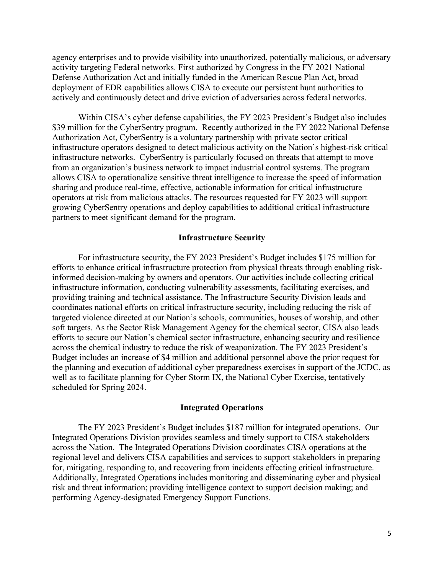agency enterprises and to provide visibility into unauthorized, potentially malicious, or adversary activity targeting Federal networks. First authorized by Congress in the FY 2021 National Defense Authorization Act and initially funded in the American Rescue Plan Act, broad deployment of EDR capabilities allows CISA to execute our persistent hunt authorities to actively and continuously detect and drive eviction of adversaries across federal networks.

Within CISA's cyber defense capabilities, the FY 2023 President's Budget also includes \$39 million for the CyberSentry program. Recently authorized in the FY 2022 National Defense Authorization Act, CyberSentry is a voluntary partnership with private sector critical infrastructure operators designed to detect malicious activity on the Nation's highest-risk critical infrastructure networks. CyberSentry is particularly focused on threats that attempt to move from an organization's business network to impact industrial control systems. The program allows CISA to operationalize sensitive threat intelligence to increase the speed of information sharing and produce real-time, effective, actionable information for critical infrastructure operators at risk from malicious attacks. The resources requested for FY 2023 will support growing CyberSentry operations and deploy capabilities to additional critical infrastructure partners to meet significant demand for the program.

#### **Infrastructure Security**

For infrastructure security, the FY 2023 President's Budget includes \$175 million for efforts to enhance critical infrastructure protection from physical threats through enabling riskinformed decision-making by owners and operators. Our activities include collecting critical infrastructure information, conducting vulnerability assessments, facilitating exercises, and providing training and technical assistance. The Infrastructure Security Division leads and coordinates national efforts on critical infrastructure security, including reducing the risk of targeted violence directed at our Nation's schools, communities, houses of worship, and other soft targets. As the Sector Risk Management Agency for the chemical sector, CISA also leads efforts to secure our Nation's chemical sector infrastructure, enhancing security and resilience across the chemical industry to reduce the risk of weaponization. The FY 2023 President's Budget includes an increase of \$4 million and additional personnel above the prior request for the planning and execution of additional cyber preparedness exercises in support of the JCDC, as well as to facilitate planning for Cyber Storm IX, the National Cyber Exercise, tentatively scheduled for Spring 2024.

## **Integrated Operations**

 The FY 2023 President's Budget includes \$187 million for integrated operations. Our Integrated Operations Division provides seamless and timely support to CISA stakeholders across the Nation. The Integrated Operations Division coordinates CISA operations at the regional level and delivers CISA capabilities and services to support stakeholders in preparing for, mitigating, responding to, and recovering from incidents effecting critical infrastructure. Additionally, Integrated Operations includes monitoring and disseminating cyber and physical risk and threat information; providing intelligence context to support decision making; and performing Agency-designated Emergency Support Functions.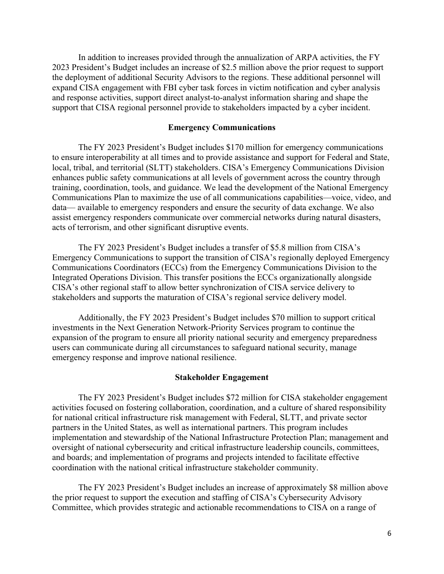In addition to increases provided through the annualization of ARPA activities, the FY 2023 President's Budget includes an increase of \$2.5 million above the prior request to support the deployment of additional Security Advisors to the regions. These additional personnel will expand CISA engagement with FBI cyber task forces in victim notification and cyber analysis and response activities, support direct analyst-to-analyst information sharing and shape the support that CISA regional personnel provide to stakeholders impacted by a cyber incident.

## **Emergency Communications**

The FY 2023 President's Budget includes \$170 million for emergency communications to ensure interoperability at all times and to provide assistance and support for Federal and State, local, tribal, and territorial (SLTT) stakeholders. CISA's Emergency Communications Division enhances public safety communications at all levels of government across the country through training, coordination, tools, and guidance. We lead the development of the National Emergency Communications Plan to maximize the use of all communications capabilities—voice, video, and data— available to emergency responders and ensure the security of data exchange. We also assist emergency responders communicate over commercial networks during natural disasters, acts of terrorism, and other significant disruptive events.

The FY 2023 President's Budget includes a transfer of \$5.8 million from CISA's Emergency Communications to support the transition of CISA's regionally deployed Emergency Communications Coordinators (ECCs) from the Emergency Communications Division to the Integrated Operations Division. This transfer positions the ECCs organizationally alongside CISA's other regional staff to allow better synchronization of CISA service delivery to stakeholders and supports the maturation of CISA's regional service delivery model.

Additionally, the FY 2023 President's Budget includes \$70 million to support critical investments in the Next Generation Network-Priority Services program to continue the expansion of the program to ensure all priority national security and emergency preparedness users can communicate during all circumstances to safeguard national security, manage emergency response and improve national resilience.

#### **Stakeholder Engagement**

 The FY 2023 President's Budget includes \$72 million for CISA stakeholder engagement activities focused on fostering collaboration, coordination, and a culture of shared responsibility for national critical infrastructure risk management with Federal, SLTT, and private sector partners in the United States, as well as international partners. This program includes implementation and stewardship of the National Infrastructure Protection Plan; management and oversight of national cybersecurity and critical infrastructure leadership councils, committees, and boards; and implementation of programs and projects intended to facilitate effective coordination with the national critical infrastructure stakeholder community.

The FY 2023 President's Budget includes an increase of approximately \$8 million above the prior request to support the execution and staffing of CISA's Cybersecurity Advisory Committee, which provides strategic and actionable recommendations to CISA on a range of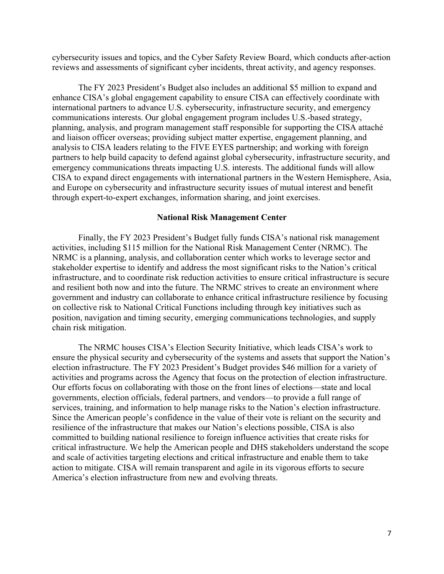cybersecurity issues and topics, and the Cyber Safety Review Board, which conducts after-action reviews and assessments of significant cyber incidents, threat activity, and agency responses.

The FY 2023 President's Budget also includes an additional \$5 million to expand and enhance CISA's global engagement capability to ensure CISA can effectively coordinate with international partners to advance U.S. cybersecurity, infrastructure security, and emergency communications interests. Our global engagement program includes U.S.-based strategy, planning, analysis, and program management staff responsible for supporting the CISA attaché and liaison officer overseas; providing subject matter expertise, engagement planning, and analysis to CISA leaders relating to the FIVE EYES partnership; and working with foreign partners to help build capacity to defend against global cybersecurity, infrastructure security, and emergency communications threats impacting U.S. interests. The additional funds will allow CISA to expand direct engagements with international partners in the Western Hemisphere, Asia, and Europe on cybersecurity and infrastructure security issues of mutual interest and benefit through expert-to-expert exchanges, information sharing, and joint exercises.

#### **National Risk Management Center**

Finally, the FY 2023 President's Budget fully funds CISA's national risk management activities, including \$115 million for the National Risk Management Center (NRMC). The NRMC is a planning, analysis, and collaboration center which works to leverage sector and stakeholder expertise to identify and address the most significant risks to the Nation's critical infrastructure, and to coordinate risk reduction activities to ensure critical infrastructure is secure and resilient both now and into the future. The NRMC strives to create an environment where government and industry can collaborate to enhance critical infrastructure resilience by focusing on collective risk to National Critical Functions including through key initiatives such as position, navigation and timing security, emerging communications technologies, and supply chain risk mitigation.

The NRMC houses CISA's Election Security Initiative, which leads CISA's work to ensure the physical security and cybersecurity of the systems and assets that support the Nation's election infrastructure. The FY 2023 President's Budget provides \$46 million for a variety of activities and programs across the Agency that focus on the protection of election infrastructure. Our efforts focus on collaborating with those on the front lines of elections—state and local governments, election officials, federal partners, and vendors—to provide a full range of services, training, and information to help manage risks to the Nation's election infrastructure. Since the American people's confidence in the value of their vote is reliant on the security and resilience of the infrastructure that makes our Nation's elections possible, CISA is also committed to building national resilience to foreign influence activities that create risks for critical infrastructure. We help the American people and DHS stakeholders understand the scope and scale of activities targeting elections and critical infrastructure and enable them to take action to mitigate. CISA will remain transparent and agile in its vigorous efforts to secure America's election infrastructure from new and evolving threats.